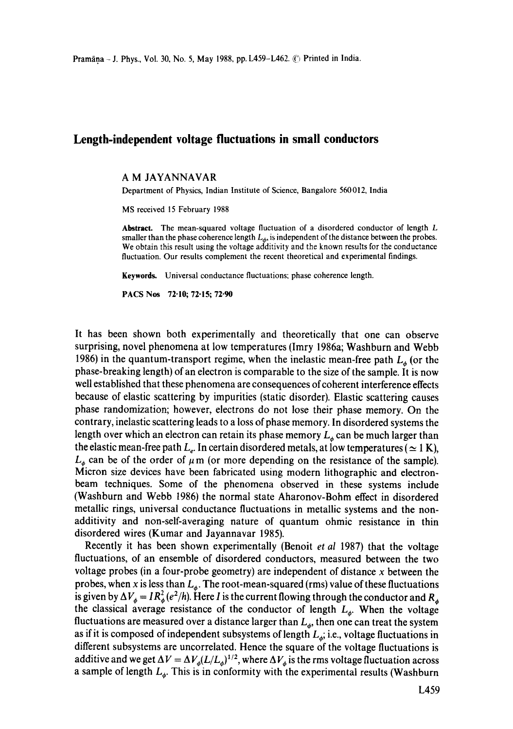## **Length-independent voltage fluctuations in small conductors**

## A M JAYANNAVAR

Department of Physics, Indian Institute of Science, Bangalore 560012, India

MS received 15 February 1988

Abstract. The mean-squared voltage fluctuation of a disordered conductor of length L smaller than the phase coherence length  $L_{\phi}$ , is independent of the distance between the probes. We obtain this result using the voltage additivity and the known results for the conductance fluctuation. Our results complement the recent theoretical and experimental findings.

Keywords. Universal conductance fluctuations; phase coherence length.

PACS Nos 72.10; 72.15; 72.90

It has been shown both experimentally and theoretically that one can observe surprising, novel phenomena at low temperatures (lmry 1986a; Washburn and Webb 1986) in the quantum-transport regime, when the inelastic mean-free path  $L<sub>6</sub>$  (or the phase-breaking length) of an electron is comparable to the size of the sample. It is now well established that these phenomena are consequences of coherent interference effects because of elastic scattering by impurities (static disorder). Elastic scattering causes phase randomization; however, electrons do not lose their phase memory. On the contrary, inelastic scattering leads to a loss of phase memory. In disordered systems the length over which an electron can retain its phase memory  $L_{\phi}$  can be much larger than the elastic mean-free path  $L_e$ . In certain disordered metals, at low temperatures ( $\simeq 1$  K),  $L_{\phi}$  can be of the order of  $\mu$  m (or more depending on the resistance of the sample). Micron size devices have been fabricated using modern lithographic and electronbeam techniques. Some of the phenomena observed in these systems include (Washburn and Webb 1986) the normal state Aharonov-Bohm effect in disordered metallic rings, universal conductance fluctuations in metallic systems and the nonadditivity and non-self-averaging nature of quantum ohmic resistance in thin disordered wires (Kumar and Jayannavar 1985).

Recently it has been shown experimentally (Benoit *et al* 1987) that the voltage fluctuations, of an ensemble of disordered conductors, measured between the two voltage probes (in a four-probe geometry) are independent of distance  $x$  between the probes, when x is less than  $L<sub>a</sub>$ . The root-mean-squared (rms) value of these fluctuations is given by  $\Delta V_{\phi} = IR_{\phi}^2 (e^2/h)$ . Here I is the current flowing through the conductor and  $R_{\phi}$ the classical average resistance of the conductor of length  $L_{\phi}$ . When the voltage fluctuations are measured over a distance larger than  $L_{\phi}$ , then one can treat the system as if it is composed of independent subsystems of length  $L_{\phi}$ ; i.e., voltage fluctuations in different subsystems are uncorrelated. Hence the square of the voltage fluctuations is additive and we get  $\Delta V = \Delta V_{\phi} (L/L_{\phi})^{1/2}$ , where  $\Delta V_{\phi}$  is the rms voltage fluctuation across a sample of length  $L_{\phi}$ . This is in conformity with the experimental results (Washburn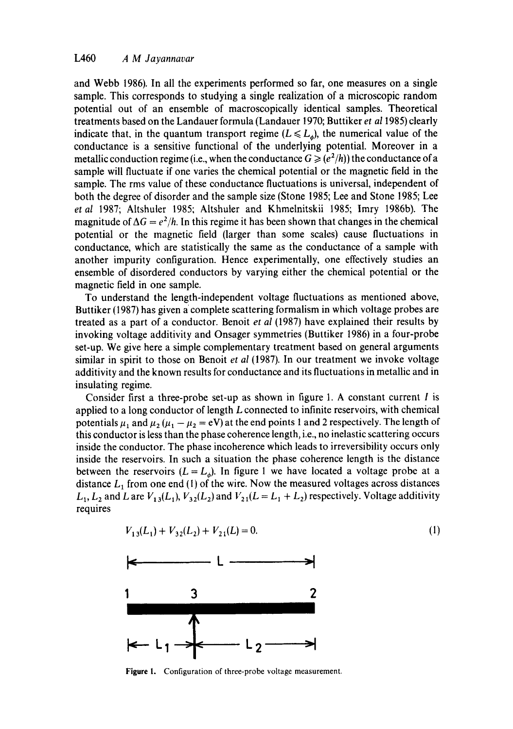and Webb 1986). In all the experiments performed so far, one measures on a single sample. This corresponds to studying a single realization of a microscopic random potential out of an ensemble of macroscopically identical samples. Theoretical treatments based on the Landauer formula (Landauer 1970; Buttiker *et a11985)* clearly indicate that, in the quantum transport regime  $(L \le L_a)$ , the numerical value of the conductance is a sensitive functional of the underlying potential. Moreover in a metallic conduction regime (i.e., when the conductance  $G \ge (e^2/h)$ ) the conductance of a sample will fluctuate if one varies the chemical potential or the magnetic field in the sample. The rms value of these conductance fluctuations is universal, independent of both the degree of disorder and the sample size (Stone 1985; Lee and Stone 1985; Lee *et al* 1987; Altshuler 1985; Altshuler and Khmelnitskii 1985; lmry 1986b). The magnitude of  $\Delta G = e^2/h$ . In this regime it has been shown that changes in the chemical potential or the magnetic field (larger than some scales) cause fluctuations in conductance, which are statistically the same as the conductance of a sample with another impurity configuration. Hence experimentally, one effectively studies an ensemble of disordered conductors by varying either the chemical potential or the magnetic field in one sample.

To understand the length-independent voltage fluctuations as mentioned above, Buttiker (1987) has given a complete scattering formalism in which voltage probes are treated as a part of a conductor. Benoit *et al* (1987) have explained their results by invoking voltage additivity and Onsager symmetries (Buttiker 1986) in a four-probe set-up. We give here a simple complementary treatment based on general arguments similar in spirit to those on Benoit *et al* (1987). In our treatment we invoke voltage additivity and the known results for conductance and its fluctuations in metallic and in insulating regime.

Consider first a three-probe set-up as shown in figure 1. A constant current  $I$  is applied to a long conductor of length  $L$  connected to infinite reservoirs, with chemical potentials  $\mu_1$  and  $\mu_2$  ( $\mu_1 - \mu_2 = eV$ ) at the end points 1 and 2 respectively. The length of this conductor is less than the phase coherence length, i.e., no inelastic scattering occurs inside the conductor. The phase incoherence which leads to irreversibility occurs only inside the reservoirs. In such a situation the phase coherence length is the distance between the reservoirs  $(L = L_{\phi})$ . In figure 1 we have located a voltage probe at a distance  $L_1$  from one end (1) of the wire. Now the measured voltages across distances  $L_1, L_2$  and L are  $V_{13}(L_1), V_{32}(L_2)$  and  $V_{21}(L = L_1 + L_2)$  respectively. Voltage additivity requires

$$
V_{13}(L_1) + V_{32}(L_2) + V_{21}(L) = 0.
$$
 (1)



**Figure** I. Configuration of three-probe voltage measurement.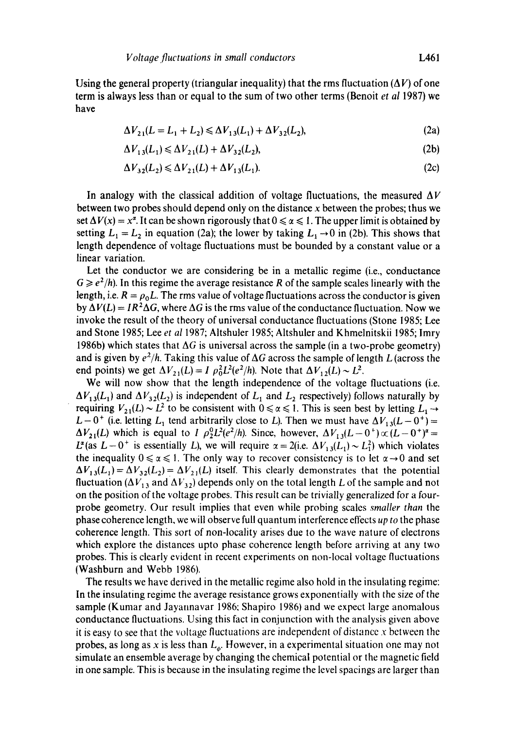$$
\Delta V_{21}(L = L_1 + L_2) \le \Delta V_{13}(L_1) + \Delta V_{32}(L_2),\tag{2a}
$$

$$
\Delta V_{13}(L_1) \le \Delta V_{21}(L) + \Delta V_{32}(L_2),\tag{2b}
$$

$$
\Delta V_{32}(L_2) \le \Delta V_{21}(L) + \Delta V_{13}(L_1). \tag{2c}
$$

In analogy with the classical addition of voltage fluctuations, the measured  $\Delta V$ between two probes should depend only on the distance x between the probes; thus we set  $\Delta V(x) = x^{\alpha}$ . It can be shown rigorously that  $0 \le \alpha \le 1$ . The upper limit is obtained by setting  $L_1 = L_2$  in equation (2a); the lower by taking  $L_1 \rightarrow 0$  in (2b). This shows that length dependence of voltage fluctuations must be bounded by a constant value or a linear variation.

Let the conductor we are considering be in a metallic regime (i.e., conductance  $G \geq e^2/h$ ). In this regime the average resistance R of the sample scales linearly with the length, i.e.  $R = \rho_0 L$ . The rms value of voltage fluctuations across the conductor is given by  $\Delta V(L) = IR^2 \Delta G$ , where  $\Delta G$  is the rms value of the conductance fluctuation. Now we invoke the result of the theory of universal conductance fluctuations (Stone 1985; Lee and Stone 1985; Lee *et al* 1987; Altshuler 1985; Altshuler and Khmelnitskii 1985; lmry 1986b) which states that  $\Delta G$  is universal across the sample (in a two-probe geometry) and is given by  $e^2/h$ . Taking this value of  $\Delta G$  across the sample of length L (across the end points) we get  $\Delta V_{21}(L) = I \rho_0^2 L^2 (e^2/h)$ . Note that  $\Delta V_{12}(L) \sim L^2$ .

We will now show that the length independence of the voltage fluctuations (i.e.  $\Delta V_{13}(L_1)$  and  $\Delta V_{32}(L_2)$  is independent of  $L_1$  and  $L_2$  respectively) follows naturally by requiring  $V_{21}(L) \sim L^2$  to be consistent with  $0 \le \alpha \le 1$ . This is seen best by letting  $L_1 \rightarrow$  $L-0^+$  (i.e. letting  $L_1$  tend arbitrarily close to L). Then we must have  $\Delta V_{13}(L-0^+)$  =  $\Delta V_{21}(L)$  which is equal to *I*  $\rho_2^0 L^2(e^2/h)$ . Since, however,  $\Delta V_{13}(L - 0^+) \propto (L - 0^+)^2$  =  $L^{\alpha}$  (as  $L-0^+$  is essentially L), we will require  $\alpha = 2(i.e. \Delta V_{13}(L_1) \sim L_1^2)$  which violates the inequality  $0 \le \alpha \le 1$ . The only way to recover consistency is to let  $\alpha \rightarrow 0$  and set  $\Delta V_{13}(L_1) = \Delta V_{32}(L_2) = \Delta V_{21}(L)$  itself. This clearly demonstrates that the potential fluctuation ( $\Delta V_{13}$  and  $\Delta V_{32}$ ) depends only on the total length L of the sample and not on the position of the voltage probes. This result can be trivially generalized for a fourprobe geometry. Our result implies that even while probing scales *smaller than* the phase coherence length, we will observe full quantum interference effects *up to* the phase coherence length. This sort of non-locality arises due to the wave nature of electrons which explore the distances upto phase coherence length before arriving at any two probes. This is clearly evident in recent experiments on non-local voltage fluctuations (Washburn and Webb 1986).

The results we have derived in the metallic regime also hold in the insulating regime: In the insulating regime the average resistance grows exponentially with the size of the sample (Kumar and Jayannavar 1986: Shapiro 1986) and we expect large anomalous conductance fluctuations. Using this fact in conjunction with the analysis given above it is easy to see that the voltage fluctuations are independent of distance  $x$  between the probes, as long as x is less than  $L_{\phi}$ . However, in a experimental situation one may not simulate an ensemble average by changing the chemical potential or the magnetic field in one sample. This is because in the insulating regime the level spacings are larger than